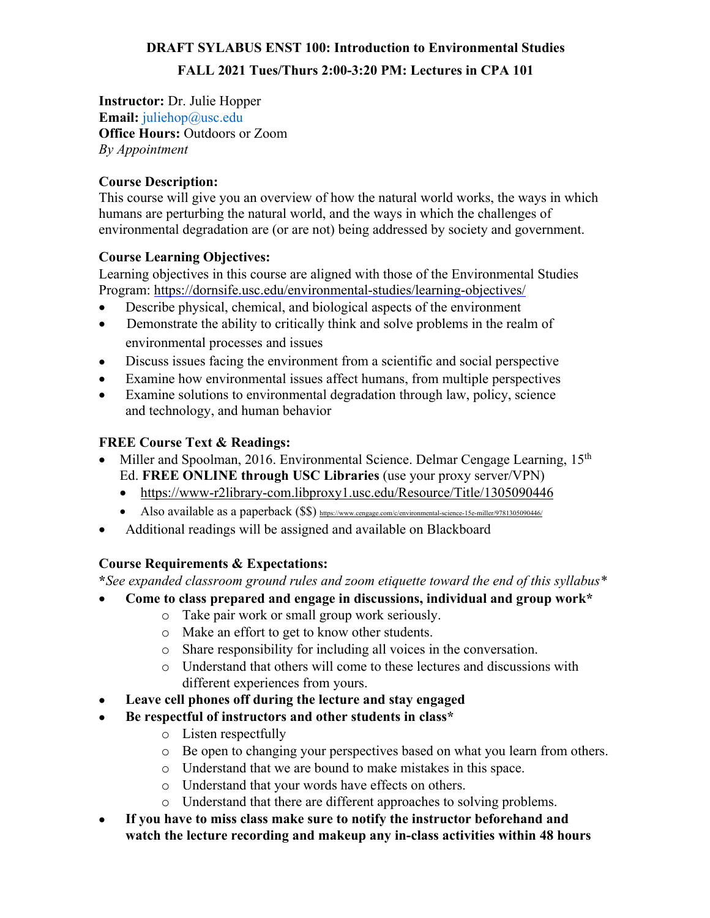# **DRAFT SYLABUS ENST 100: Introduction to Environmental Studies FALL 2021 Tues/Thurs 2:00-3:20 PM: Lectures in CPA 101**

**Instructor:** Dr. Julie Hopper **Email:** *juliehop@usc.edu* **Office Hours:** Outdoors or Zoom *By Appointment*

# **Course Description:**

This course will give you an overview of how the natural world works, the ways in which humans are perturbing the natural world, and the ways in which the challenges of environmental degradation are (or are not) being addressed by society and government.

## **Course Learning Objectives:**

Learning objectives in this course are aligned with those of the Environmental Studies Program: https://dornsife.usc.edu/environmental-studies/learning-objectives/

- Describe physical, chemical, and biological aspects of the environment
- Demonstrate the ability to critically think and solve problems in the realm of environmental processes and issues
- Discuss issues facing the environment from a scientific and social perspective
- Examine how environmental issues affect humans, from multiple perspectives
- Examine solutions to environmental degradation through law, policy, science and technology, and human behavior

## **FREE Course Text & Readings:**

- Miller and Spoolman, 2016. Environmental Science. Delmar Cengage Learning, 15<sup>th</sup> Ed. **FREE ONLINE through USC Libraries** (use your proxy server/VPN)
	- https://www-r2library-com.libproxy1.usc.edu/Resource/Title/1305090446
	- Also available as a paperback (\$\$) https://www.cengage.com/c/environmental-science-15e-miller/9781305090446/
- Additional readings will be assigned and available on Blackboard

# **Course Requirements & Expectations:**

**\****See expanded classroom ground rules and zoom etiquette toward the end of this syllabus\**

- **Come to class prepared and engage in discussions, individual and group work\***
	- o Take pair work or small group work seriously.
	- o Make an effort to get to know other students.
	- o Share responsibility for including all voices in the conversation.
	- o Understand that others will come to these lectures and discussions with different experiences from yours.
- **Leave cell phones off during the lecture and stay engaged**
- **Be respectful of instructors and other students in class\***
	- o Listen respectfully
	- o Be open to changing your perspectives based on what you learn from others.
	- o Understand that we are bound to make mistakes in this space.
	- o Understand that your words have effects on others.
	- o Understand that there are different approaches to solving problems.
- **If you have to miss class make sure to notify the instructor beforehand and watch the lecture recording and makeup any in-class activities within 48 hours**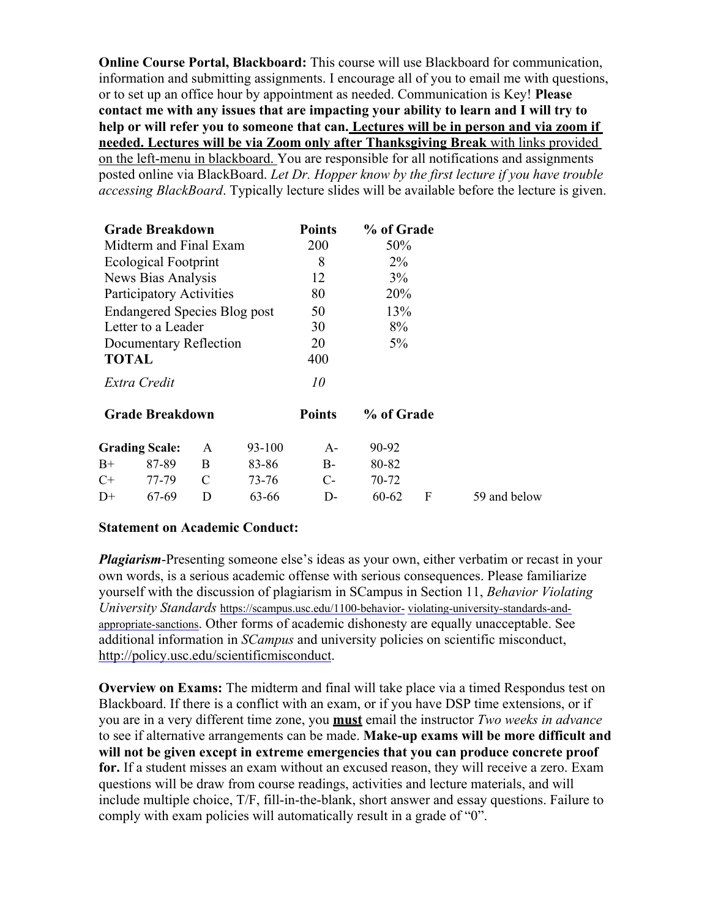**Online Course Portal, Blackboard:** This course will use Blackboard for communication, information and submitting assignments. I encourage all of you to email me with questions, or to set up an office hour by appointment as needed. Communication is Key! **Please contact me with any issues that are impacting your ability to learn and I will try to help or will refer you to someone that can. Lectures will be in person and via zoom if needed. Lectures will be via Zoom only after Thanksgiving Break** with links provided on the left-menu in blackboard. You are responsible for all notifications and assignments posted online via BlackBoard. *Let Dr. Hopper know by the first lecture if you have trouble accessing BlackBoard*. Typically lecture slides will be available before the lecture is given.

| <b>Grade Breakdown</b>              |                       |   |        | <b>Points</b> | % of Grade |   |              |
|-------------------------------------|-----------------------|---|--------|---------------|------------|---|--------------|
| Midterm and Final Exam              |                       |   |        | 200           | 50%        |   |              |
| Ecological Footprint                |                       |   |        | 8             | $2\%$      |   |              |
| News Bias Analysis                  |                       |   |        | 12            | $3\%$      |   |              |
| Participatory Activities            |                       |   |        | 80            | 20%        |   |              |
| <b>Endangered Species Blog post</b> |                       |   |        | 50            | 13%        |   |              |
| Letter to a Leader                  |                       |   |        | 30            | 8%         |   |              |
| Documentary Reflection              |                       |   |        | 20            | $5\%$      |   |              |
| <b>TOTAL</b>                        |                       |   |        | 400           |            |   |              |
| Extra Credit                        |                       |   |        | 10            |            |   |              |
| <b>Grade Breakdown</b>              |                       |   |        | <b>Points</b> | % of Grade |   |              |
|                                     | <b>Grading Scale:</b> | A | 93-100 | $A -$         | 90-92      |   |              |
| $B+$                                | 87-89                 | B | 83-86  | $B-$          | 80-82      |   |              |
| $C+$                                | 77-79                 | C | 73-76  | $C-$          | 70-72      |   |              |
| $D+$                                | 67-69                 | D | 63-66  | D-            | 60-62      | F | 59 and below |

#### **Statement on Academic Conduct:**

*Plagiarism*-Presenting someone else's ideas as your own, either verbatim or recast in your own words, is a serious academic offense with serious consequences. Please familiarize yourself with the discussion of plagiarism in SCampus in Section 11, *Behavior Violating University Standards* https://scampus.usc.edu/1100-behavior- violating-university-standards-andappropriate-sanctions. Other forms of academic dishonesty are equally unacceptable. See additional information in *SCampus* and university policies on scientific misconduct, http://policy.usc.edu/scientificmisconduct.

**Overview on Exams:** The midterm and final will take place via a timed Respondus test on Blackboard. If there is a conflict with an exam, or if you have DSP time extensions, or if you are in a very different time zone, you **must** email the instructor *Two weeks in advance*  to see if alternative arrangements can be made. **Make-up exams will be more difficult and will not be given except in extreme emergencies that you can produce concrete proof for.** If a student misses an exam without an excused reason, they will receive a zero. Exam questions will be draw from course readings, activities and lecture materials, and will include multiple choice, T/F, fill-in-the-blank, short answer and essay questions. Failure to comply with exam policies will automatically result in a grade of "0".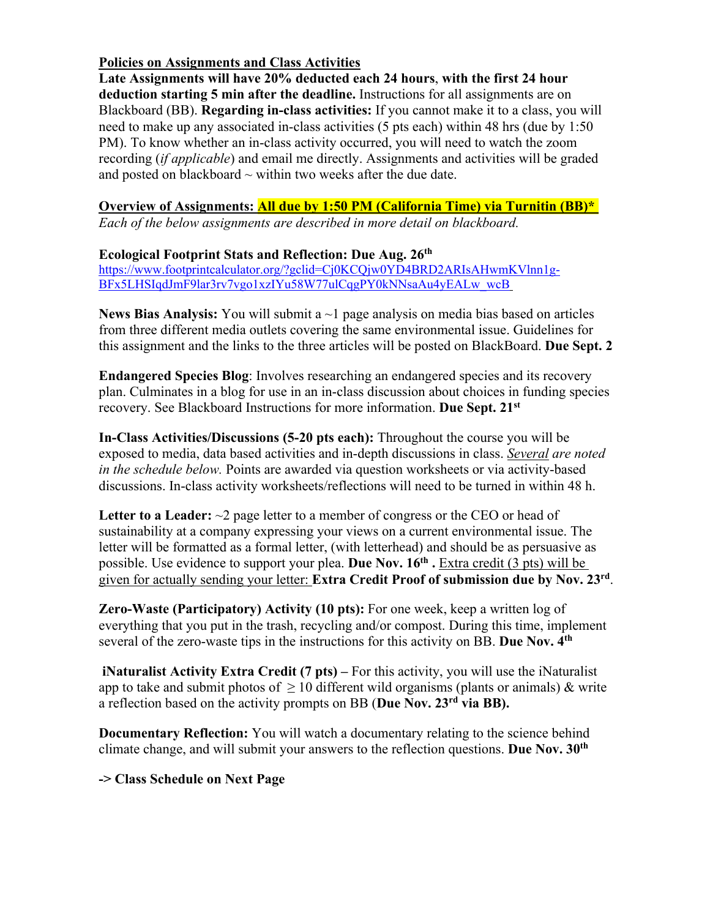### **Policies on Assignments and Class Activities**

**Late Assignments will have 20% deducted each 24 hours**, **with the first 24 hour deduction starting 5 min after the deadline.** Instructions for all assignments are on Blackboard (BB). **Regarding in-class activities:** If you cannot make it to a class, you will need to make up any associated in-class activities (5 pts each) within 48 hrs (due by 1:50 PM). To know whether an in-class activity occurred, you will need to watch the zoom recording (*if applicable*) and email me directly. Assignments and activities will be graded and posted on blackboard  $\sim$  within two weeks after the due date.

## **Overview of Assignments: All due by 1:50 PM (California Time) via Turnitin (BB)\***

*Each of the below assignments are described in more detail on blackboard.* 

### **Ecological Footprint Stats and Reflection: Due Aug. 26th**

https://www.footprintcalculator.org/?gclid=Cj0KCQjw0YD4BRD2ARIsAHwmKVlnn1g-BFx5LHSIqdJmF9lar3rv7vgo1xzIYu58W77ulCqgPY0kNNsaAu4yEALw\_wcB

**News Bias Analysis:** You will submit a ~1 page analysis on media bias based on articles from three different media outlets covering the same environmental issue. Guidelines for this assignment and the links to the three articles will be posted on BlackBoard. **Due Sept. 2**

**Endangered Species Blog**: Involves researching an endangered species and its recovery plan. Culminates in a blog for use in an in-class discussion about choices in funding species recovery. See Blackboard Instructions for more information. **Due Sept. 21st**

**In-Class Activities/Discussions (5-20 pts each):** Throughout the course you will be exposed to media, data based activities and in-depth discussions in class. *Several are noted in the schedule below.* Points are awarded via question worksheets or via activity-based discussions. In-class activity worksheets/reflections will need to be turned in within 48 h.

Letter to a Leader:  $\sim$ 2 page letter to a member of congress or the CEO or head of sustainability at a company expressing your views on a current environmental issue. The letter will be formatted as a formal letter, (with letterhead) and should be as persuasive as possible. Use evidence to support your plea. **Due Nov. 16th .** Extra credit (3 pts) will be given for actually sending your letter: **Extra Credit Proof of submission due by Nov. 23rd**.

**Zero-Waste (Participatory) Activity (10 pts):** For one week, keep a written log of everything that you put in the trash, recycling and/or compost. During this time, implement several of the zero-waste tips in the instructions for this activity on BB. **Due Nov. 4th**

**iNaturalist Activity Extra Credit (7 pts) –** For this activity, you will use the iNaturalist app to take and submit photos of  $\geq 10$  different wild organisms (plants or animals) & write a reflection based on the activity prompts on BB (**Due Nov. 23rd via BB).** 

**Documentary Reflection:** You will watch a documentary relating to the science behind climate change, and will submit your answers to the reflection questions. **Due Nov. 30th**

**-> Class Schedule on Next Page**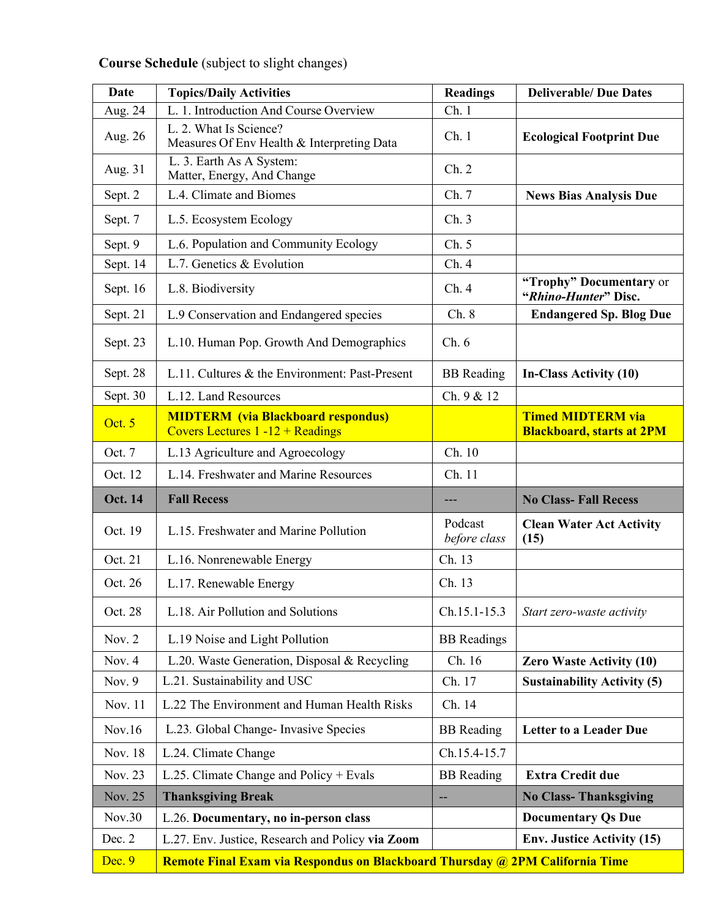# **Date Topics/Daily Activities Readings Deliverable/ Due** Dates Aug. 24 | L. 1. Introduction And Course Overview Ch. 1 Aug. 26 | L. 2. What Is Science? Measures Of Env Health & Interpreting Data Ch. 1 **Ecological Footprint Due**  Aug. 31 L. 3. Earth As A System: Matter, Energy, And Change  $Ch. 2$ Sept. 2 | L.4. Climate and Biomes | Ch. 7 | News Bias Analysis Due Sept. 7 | L.5. Ecosystem Ecology Ch. 3 Sept. 9 | L.6. Population and Community Ecology Ch. 5 Sept. 14 | L.7. Genetics & Evolution Ch. 4 Sept. 16 L.8. Biodiversity Ch. 4 **"Trophy" Documentary** or **"***Rhino-Hunter***" Disc.** Sept. 21 L.9 Conservation and Endangered species Ch. 8 **Endangered Sp. Blog Due** Sept. 23 | L.10. Human Pop. Growth And Demographics | Ch. 6 Sept. 28 | L.11. Cultures & the Environment: Past-Present | BB Reading | In-Class Activity (10) Sept. 30 | L.12. Land Resources | Ch. 9 & 12 Oct. 5 **MIDTERM (via Blackboard respondus)**  Covers Lectures 1 -12 + Readings **Timed MIDTERM via Blackboard, starts at 2PM** Oct. 7 | L.13 Agriculture and Agroecology | Ch. 10 Oct. 12 L.14. Freshwater and Marine Resources Ch. 11 **Oct. 14 Fall Recess** --- **No Class- Fall Recess** Oct. 19 L.15. Freshwater and Marine Pollution Podcast *before class* **Clean Water Act Activity (15)** Oct. 21 | L.16. Nonrenewable Energy | Ch. 13 Oct. 26 | L.17. Renewable Energy | Ch. 13 Oct. 28 | L.18. Air Pollution and Solutions | Ch.15.1-15.3 *Start zero-waste activity* Nov. 2 | L.19 Noise and Light Pollution | BB Readings Nov. 4 | L.20. Waste Generation, Disposal & Recycling | Ch. 16 | **Zero Waste Activity (10)** Nov. 9 | L.21. Sustainability and USC **Ch. 17** | **Sustainability Activity (5)** Nov. 11 | L.22 The Environment and Human Health Risks  $\parallel$  Ch. 14 Nov.16 L.23*.* Global Change- Invasive Species BB Reading **Letter to a Leader Due** Nov. 18 | L.24. Climate Change Ch.15.4-15.7 Nov. 23 | L.25. Climate Change and Policy + Evals | BB Reading | **Extra Credit due** Nov. 25 **Thanksgiving Break -- <b>No** Class- **Thanksgiving** Nov.30 L.26. Documentary, no in-person class **Disk in the U.S. 2018** Documentary Qs Due Dec. 2 | L.27. Env. Justice, Research and Policy **via Zoom** | **Env. Justice Activity** (15) Dec. 9 **Remote Final Exam via Respondus on Blackboard Thursday @ 2PM California Time**

### **Course Schedule** (subject to slight changes)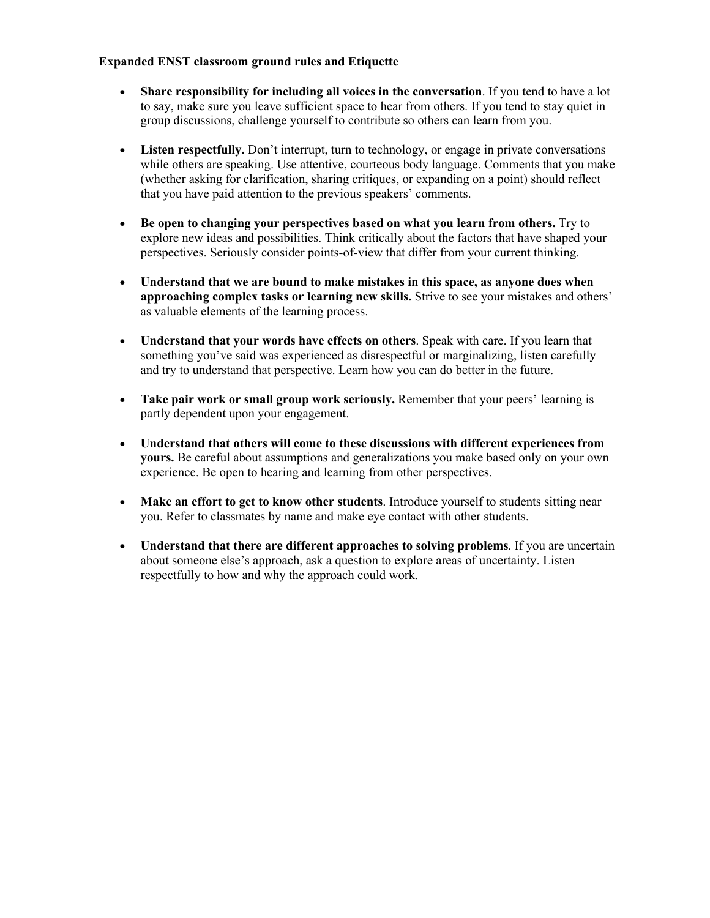#### **Expanded ENST classroom ground rules and Etiquette**

- **Share responsibility for including all voices in the conversation**. If you tend to have a lot to say, make sure you leave sufficient space to hear from others. If you tend to stay quiet in group discussions, challenge yourself to contribute so others can learn from you.
- **Listen respectfully.** Don't interrupt, turn to technology, or engage in private conversations while others are speaking. Use attentive, courteous body language. Comments that you make (whether asking for clarification, sharing critiques, or expanding on a point) should reflect that you have paid attention to the previous speakers' comments.
- **Be open to changing your perspectives based on what you learn from others.** Try to explore new ideas and possibilities. Think critically about the factors that have shaped your perspectives. Seriously consider points-of-view that differ from your current thinking.
- **Understand that we are bound to make mistakes in this space, as anyone does when approaching complex tasks or learning new skills.** Strive to see your mistakes and others' as valuable elements of the learning process.
- **Understand that your words have effects on others**. Speak with care. If you learn that something you've said was experienced as disrespectful or marginalizing, listen carefully and try to understand that perspective. Learn how you can do better in the future.
- **Take pair work or small group work seriously.** Remember that your peers' learning is partly dependent upon your engagement.
- **Understand that others will come to these discussions with different experiences from yours.** Be careful about assumptions and generalizations you make based only on your own experience. Be open to hearing and learning from other perspectives.
- Make an effort to get to know other students. Introduce yourself to students sitting near you. Refer to classmates by name and make eye contact with other students.
- Understand that there are different approaches to solving problems. If you are uncertain about someone else's approach, ask a question to explore areas of uncertainty. Listen respectfully to how and why the approach could work.